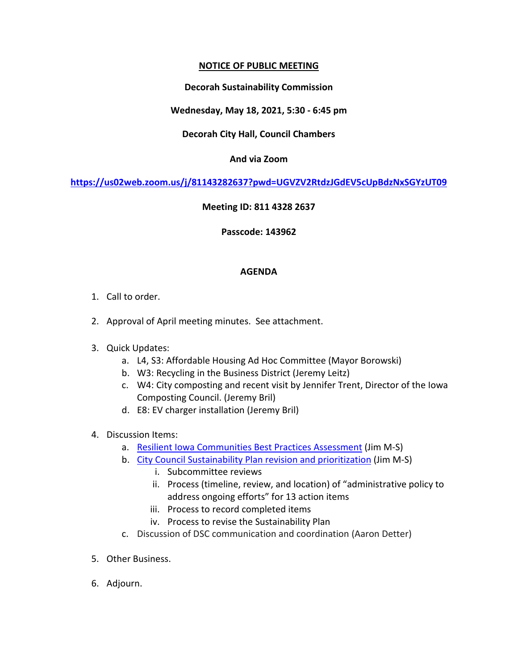## **NOTICE OF PUBLIC MEETING**

## **Decorah Sustainability Commission**

# **Wednesday, May 18, 2021, 5:30 - 6:45 pm**

## **Decorah City Hall, Council Chambers**

## **And via Zoom**

**<https://us02web.zoom.us/j/81143282637?pwd=UGVZV2RtdzJGdEV5cUpBdzNxSGYzUT09>**

### **Meeting ID: 811 4328 2637**

### **Passcode: 143962**

### **AGENDA**

- 1. Call to order.
- 2. Approval of April meeting minutes. See attachment.
- 3. Quick Updates:
	- a. L4, S3: Affordable Housing Ad Hoc Committee (Mayor Borowski)
	- b. W3: Recycling in the Business District (Jeremy Leitz)
	- c. W4: City composting and recent visit by Jennifer Trent, Director of the Iowa Composting Council. (Jeremy Bril)
	- d. E8: EV charger installation (Jeremy Bril)
- 4. Discussion Items:
	- a. [Resilient Iowa Communities Best Practices Assessment](https://docs.google.com/document/d/1Ski1O-Dw_HSyZjmbzu6M4B6i1kxEF5zlMZ7kXhvse60/edit?usp=sharing) (Jim M-S)
	- b. [City Council Sustainability Plan revision and prioritization](https://docs.google.com/spreadsheets/d/1k19-UzAaImqy6i-5Ajk8WqgoGUpBVXOO_smCl9esexI/edit?usp=sharing) (Jim M-S)
		- i. Subcommittee reviews
		- ii. Process (timeline, review, and location) of "administrative policy to address ongoing efforts" for 13 action items
		- iii. Process to record completed items
		- iv. Process to revise the Sustainability Plan
	- c. Discussion of DSC communication and coordination (Aaron Detter)
- 5. Other Business.
- 6. Adjourn.